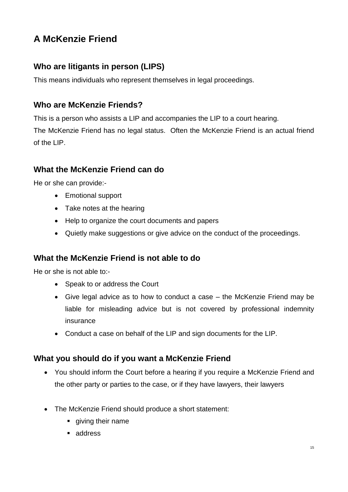# **A McKenzie Friend**

## **Who are litigants in person (LIPS)**

This means individuals who represent themselves in legal proceedings.

## **Who are McKenzie Friends?**

This is a person who assists a LIP and accompanies the LIP to a court hearing. The McKenzie Friend has no legal status. Often the McKenzie Friend is an actual friend of the LIP.

## **What the McKenzie Friend can do**

He or she can provide:-

- Emotional support
- Take notes at the hearing
- Help to organize the court documents and papers
- Quietly make suggestions or give advice on the conduct of the proceedings.

### **What the McKenzie Friend is not able to do**

He or she is not able to:-

- Speak to or address the Court
- Give legal advice as to how to conduct a case the McKenzie Friend may be liable for misleading advice but is not covered by professional indemnity insurance
- Conduct a case on behalf of the LIP and sign documents for the LIP.

### **What you should do if you want a McKenzie Friend**

- You should inform the Court before a hearing if you require a McKenzie Friend and the other party or parties to the case, or if they have lawyers, their lawyers
- The McKenzie Friend should produce a short statement:
	- **qiving their name**
	- address